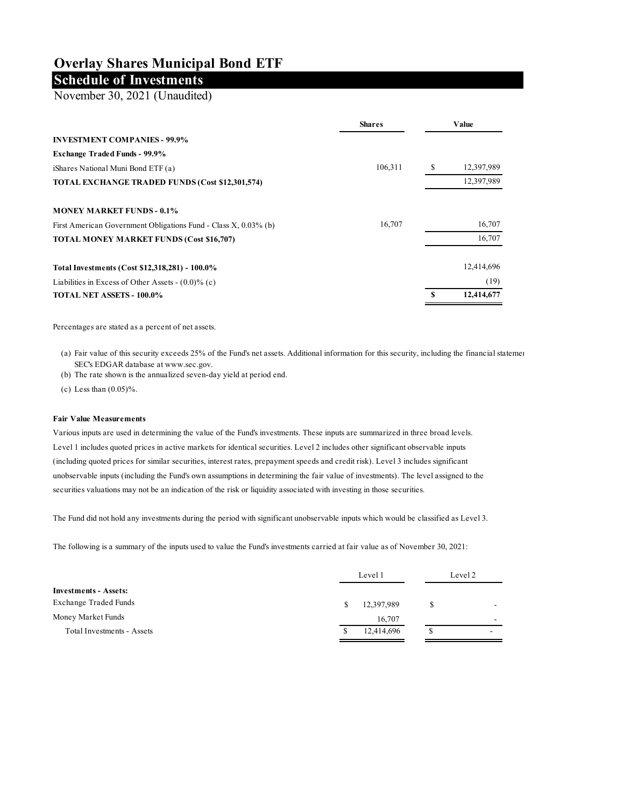## **Overlay Shares Municipal Bond ETF**

## **Schedule of Investments**

November 30, 2021 (Unaudited)

|                                                                 | <b>Shares</b> |   | Value      |
|-----------------------------------------------------------------|---------------|---|------------|
| <b>INVESTMENT COMPANIES - 99.9%</b>                             |               |   |            |
| <b>Exchange Traded Funds - 99.9%</b>                            |               |   |            |
| iShares National Muni Bond ETF (a)                              | 106,311       | S | 12,397,989 |
| TOTAL EXCHANGE TRADED FUNDS (Cost \$12,301,574)                 |               |   | 12,397,989 |
| <b>MONEY MARKET FUNDS - 0.1%</b>                                |               |   |            |
| First American Government Obligations Fund - Class X, 0.03% (b) | 16,707        |   | 16,707     |
| <b>TOTAL MONEY MARKET FUNDS (Cost \$16,707)</b>                 |               |   | 16,707     |
| Total Investments (Cost \$12,318,281) - 100.0%                  |               |   | 12,414,696 |
| Liabilities in Excess of Other Assets - $(0.0)$ % (c)           |               |   | (19)       |
| <b>TOTAL NET ASSETS - 100.0%</b>                                |               | S | 12,414,677 |

Percentages are stated as a percent of net assets.

(a) Fair value of this security exceeds 25% of the Fund's net assets. Additional information for this security, including the financial statements, including the financial statements, including the financial statements, in SEC's EDGAR database at www.sec.gov.

(b) The rate shown is the annualized seven-day yield at period end.

(c) Less than  $(0.05)$ %.

## **Fair Value Measurements**

Various inputs are used in determining the value of the Fund's investments. These inputs are summarized in three broad levels. Level 1 includes quoted prices in active markets for identical securities. Level 2 includes other significant observable inputs (including quoted prices for similar securities, interest rates, prepayment speeds and credit risk). Level 3 includes significant unobservable inputs (including the Fund's own assumptions in determining the fair value of investments). The level assigned to the securities valuations may not be an indication of the risk or liquidity associated with investing in those securities.

The Fund did not hold any investments during the period with significant unobservable inputs which would be classified as Level 3.

The following is a summary of the inputs used to value the Fund's investments carried at fair value as of November 30, 2021:

|                              | Level 1 |            | Level 2 |  |
|------------------------------|---------|------------|---------|--|
| <b>Investments - Assets:</b> |         |            |         |  |
| <b>Exchange Traded Funds</b> | S.      | 12,397,989 |         |  |
| Money Market Funds           |         | 16,707     | -       |  |
| Total Investments - Assets   | S       | 12,414,696 | \$      |  |